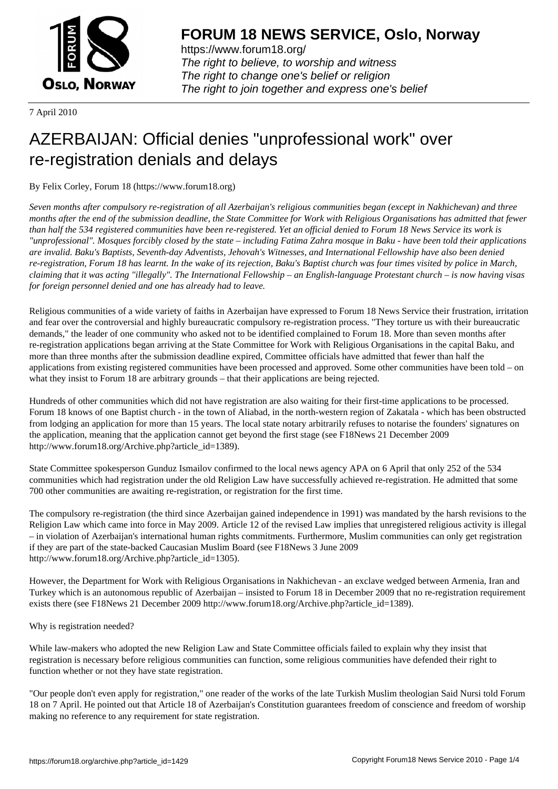

https://www.forum18.org/ The right to believe, to worship and witness The right to change one's belief or religion [The right to join together a](https://www.forum18.org/)nd express one's belief

7 April 2010

## [AZERBAIJAN: O](https://www.forum18.org)fficial denies "unprofessional work" over re-registration denials and delays

By Felix Corley, Forum 18 (https://www.forum18.org)

*Seven months after compulsory re-registration of all Azerbaijan's religious communities began (except in Nakhichevan) and three months after the end of the submission deadline, the State Committee for Work with Religious Organisations has admitted that fewer than half the 534 registered communities have been re-registered. Yet an official denied to Forum 18 News Service its work is "unprofessional". Mosques forcibly closed by the state – including Fatima Zahra mosque in Baku - have been told their applications are invalid. Baku's Baptists, Seventh-day Adventists, Jehovah's Witnesses, and International Fellowship have also been denied re-registration, Forum 18 has learnt. In the wake of its rejection, Baku's Baptist church was four times visited by police in March, claiming that it was acting "illegally". The International Fellowship – an English-language Protestant church – is now having visas for foreign personnel denied and one has already had to leave.*

Religious communities of a wide variety of faiths in Azerbaijan have expressed to Forum 18 News Service their frustration, irritation and fear over the controversial and highly bureaucratic compulsory re-registration process. "They torture us with their bureaucratic demands," the leader of one community who asked not to be identified complained to Forum 18. More than seven months after re-registration applications began arriving at the State Committee for Work with Religious Organisations in the capital Baku, and more than three months after the submission deadline expired, Committee officials have admitted that fewer than half the applications from existing registered communities have been processed and approved. Some other communities have been told – on what they insist to Forum 18 are arbitrary grounds – that their applications are being rejected.

Hundreds of other communities which did not have registration are also waiting for their first-time applications to be processed. Forum 18 knows of one Baptist church - in the town of Aliabad, in the north-western region of Zakatala - which has been obstructed from lodging an application for more than 15 years. The local state notary arbitrarily refuses to notarise the founders' signatures on the application, meaning that the application cannot get beyond the first stage (see F18News 21 December 2009 http://www.forum18.org/Archive.php?article\_id=1389).

State Committee spokesperson Gunduz Ismailov confirmed to the local news agency APA on 6 April that only 252 of the 534 communities which had registration under the old Religion Law have successfully achieved re-registration. He admitted that some 700 other communities are awaiting re-registration, or registration for the first time.

The compulsory re-registration (the third since Azerbaijan gained independence in 1991) was mandated by the harsh revisions to the Religion Law which came into force in May 2009. Article 12 of the revised Law implies that unregistered religious activity is illegal – in violation of Azerbaijan's international human rights commitments. Furthermore, Muslim communities can only get registration if they are part of the state-backed Caucasian Muslim Board (see F18News 3 June 2009 http://www.forum18.org/Archive.php?article\_id=1305).

However, the Department for Work with Religious Organisations in Nakhichevan - an exclave wedged between Armenia, Iran and Turkey which is an autonomous republic of Azerbaijan – insisted to Forum 18 in December 2009 that no re-registration requirement exists there (see F18News 21 December 2009 http://www.forum18.org/Archive.php?article\_id=1389).

## Why is registration needed?

While law-makers who adopted the new Religion Law and State Committee officials failed to explain why they insist that registration is necessary before religious communities can function, some religious communities have defended their right to function whether or not they have state registration.

"Our people don't even apply for registration," one reader of the works of the late Turkish Muslim theologian Said Nursi told Forum 18 on 7 April. He pointed out that Article 18 of Azerbaijan's Constitution guarantees freedom of conscience and freedom of worship making no reference to any requirement for state registration.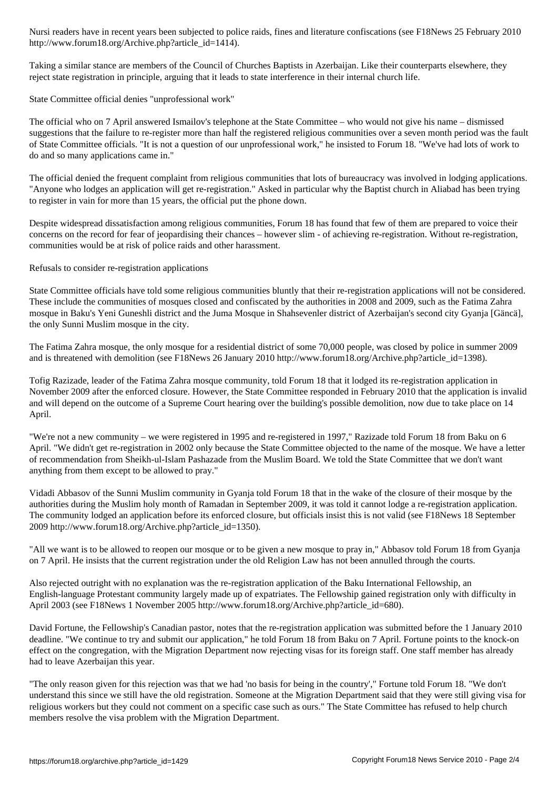http://www.forum18.org/Archive.php?article\_id=1414).

Taking a similar stance are members of the Council of Churches Baptists in Azerbaijan. Like their counterparts elsewhere, they reject state registration in principle, arguing that it leads to state interference in their internal church life.

State Committee official denies "unprofessional work"

The official who on 7 April answered Ismailov's telephone at the State Committee – who would not give his name – dismissed suggestions that the failure to re-register more than half the registered religious communities over a seven month period was the fault of State Committee officials. "It is not a question of our unprofessional work," he insisted to Forum 18. "We've had lots of work to do and so many applications came in."

The official denied the frequent complaint from religious communities that lots of bureaucracy was involved in lodging applications. "Anyone who lodges an application will get re-registration." Asked in particular why the Baptist church in Aliabad has been trying to register in vain for more than 15 years, the official put the phone down.

Despite widespread dissatisfaction among religious communities, Forum 18 has found that few of them are prepared to voice their concerns on the record for fear of jeopardising their chances – however slim - of achieving re-registration. Without re-registration, communities would be at risk of police raids and other harassment.

Refusals to consider re-registration applications

State Committee officials have told some religious communities bluntly that their re-registration applications will not be considered. These include the communities of mosques closed and confiscated by the authorities in 2008 and 2009, such as the Fatima Zahra mosque in Baku's Yeni Guneshli district and the Juma Mosque in Shahsevenler district of Azerbaijan's second city Gyanja [Gäncä], the only Sunni Muslim mosque in the city.

The Fatima Zahra mosque, the only mosque for a residential district of some 70,000 people, was closed by police in summer 2009 and is threatened with demolition (see F18News 26 January 2010 http://www.forum18.org/Archive.php?article\_id=1398).

Tofig Razizade, leader of the Fatima Zahra mosque community, told Forum 18 that it lodged its re-registration application in November 2009 after the enforced closure. However, the State Committee responded in February 2010 that the application is invalid and will depend on the outcome of a Supreme Court hearing over the building's possible demolition, now due to take place on 14 April.

"We're not a new community – we were registered in 1995 and re-registered in 1997," Razizade told Forum 18 from Baku on 6 April. "We didn't get re-registration in 2002 only because the State Committee objected to the name of the mosque. We have a letter of recommendation from Sheikh-ul-Islam Pashazade from the Muslim Board. We told the State Committee that we don't want anything from them except to be allowed to pray."

Vidadi Abbasov of the Sunni Muslim community in Gyanja told Forum 18 that in the wake of the closure of their mosque by the authorities during the Muslim holy month of Ramadan in September 2009, it was told it cannot lodge a re-registration application. The community lodged an application before its enforced closure, but officials insist this is not valid (see F18News 18 September 2009 http://www.forum18.org/Archive.php?article\_id=1350).

"All we want is to be allowed to reopen our mosque or to be given a new mosque to pray in," Abbasov told Forum 18 from Gyanja on 7 April. He insists that the current registration under the old Religion Law has not been annulled through the courts.

Also rejected outright with no explanation was the re-registration application of the Baku International Fellowship, an English-language Protestant community largely made up of expatriates. The Fellowship gained registration only with difficulty in April 2003 (see F18News 1 November 2005 http://www.forum18.org/Archive.php?article\_id=680).

David Fortune, the Fellowship's Canadian pastor, notes that the re-registration application was submitted before the 1 January 2010 deadline. "We continue to try and submit our application," he told Forum 18 from Baku on 7 April. Fortune points to the knock-on effect on the congregation, with the Migration Department now rejecting visas for its foreign staff. One staff member has already had to leave Azerbaijan this year.

"The only reason given for this rejection was that we had 'no basis for being in the country'," Fortune told Forum 18. "We don't understand this since we still have the old registration. Someone at the Migration Department said that they were still giving visa for religious workers but they could not comment on a specific case such as ours." The State Committee has refused to help church members resolve the visa problem with the Migration Department.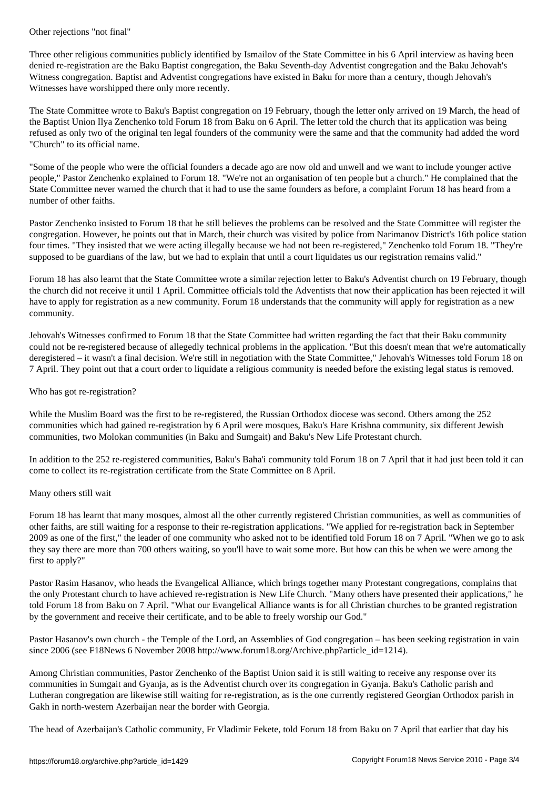Three other religious communities publicly identified by Ismailov of the State Committee in his 6 April interview as having been denied re-registration are the Baku Baptist congregation, the Baku Seventh-day Adventist congregation and the Baku Jehovah's Witness congregation. Baptist and Adventist congregations have existed in Baku for more than a century, though Jehovah's Witnesses have worshipped there only more recently.

The State Committee wrote to Baku's Baptist congregation on 19 February, though the letter only arrived on 19 March, the head of the Baptist Union Ilya Zenchenko told Forum 18 from Baku on 6 April. The letter told the church that its application was being refused as only two of the original ten legal founders of the community were the same and that the community had added the word "Church" to its official name.

"Some of the people who were the official founders a decade ago are now old and unwell and we want to include younger active people," Pastor Zenchenko explained to Forum 18. "We're not an organisation of ten people but a church." He complained that the State Committee never warned the church that it had to use the same founders as before, a complaint Forum 18 has heard from a number of other faiths.

Pastor Zenchenko insisted to Forum 18 that he still believes the problems can be resolved and the State Committee will register the congregation. However, he points out that in March, their church was visited by police from Narimanov District's 16th police station four times. "They insisted that we were acting illegally because we had not been re-registered," Zenchenko told Forum 18. "They're supposed to be guardians of the law, but we had to explain that until a court liquidates us our registration remains valid."

Forum 18 has also learnt that the State Committee wrote a similar rejection letter to Baku's Adventist church on 19 February, though the church did not receive it until 1 April. Committee officials told the Adventists that now their application has been rejected it will have to apply for registration as a new community. Forum 18 understands that the community will apply for registration as a new community.

Jehovah's Witnesses confirmed to Forum 18 that the State Committee had written regarding the fact that their Baku community could not be re-registered because of allegedly technical problems in the application. "But this doesn't mean that we're automatically deregistered – it wasn't a final decision. We're still in negotiation with the State Committee," Jehovah's Witnesses told Forum 18 on 7 April. They point out that a court order to liquidate a religious community is needed before the existing legal status is removed.

## Who has got re-registration?

While the Muslim Board was the first to be re-registered, the Russian Orthodox diocese was second. Others among the 252 communities which had gained re-registration by 6 April were mosques, Baku's Hare Krishna community, six different Jewish communities, two Molokan communities (in Baku and Sumgait) and Baku's New Life Protestant church.

In addition to the 252 re-registered communities, Baku's Baha'i community told Forum 18 on 7 April that it had just been told it can come to collect its re-registration certificate from the State Committee on 8 April.

## Many others still wait

Forum 18 has learnt that many mosques, almost all the other currently registered Christian communities, as well as communities of other faiths, are still waiting for a response to their re-registration applications. "We applied for re-registration back in September 2009 as one of the first," the leader of one community who asked not to be identified told Forum 18 on 7 April. "When we go to ask they say there are more than 700 others waiting, so you'll have to wait some more. But how can this be when we were among the first to apply?"

Pastor Rasim Hasanov, who heads the Evangelical Alliance, which brings together many Protestant congregations, complains that the only Protestant church to have achieved re-registration is New Life Church. "Many others have presented their applications," he told Forum 18 from Baku on 7 April. "What our Evangelical Alliance wants is for all Christian churches to be granted registration by the government and receive their certificate, and to be able to freely worship our God."

Pastor Hasanov's own church - the Temple of the Lord, an Assemblies of God congregation – has been seeking registration in vain since 2006 (see F18News 6 November 2008 http://www.forum18.org/Archive.php?article\_id=1214).

Among Christian communities, Pastor Zenchenko of the Baptist Union said it is still waiting to receive any response over its communities in Sumgait and Gyanja, as is the Adventist church over its congregation in Gyanja. Baku's Catholic parish and Lutheran congregation are likewise still waiting for re-registration, as is the one currently registered Georgian Orthodox parish in Gakh in north-western Azerbaijan near the border with Georgia.

The head of Azerbaijan's Catholic community, Fr Vladimir Fekete, told Forum 18 from Baku on 7 April that earlier that day his